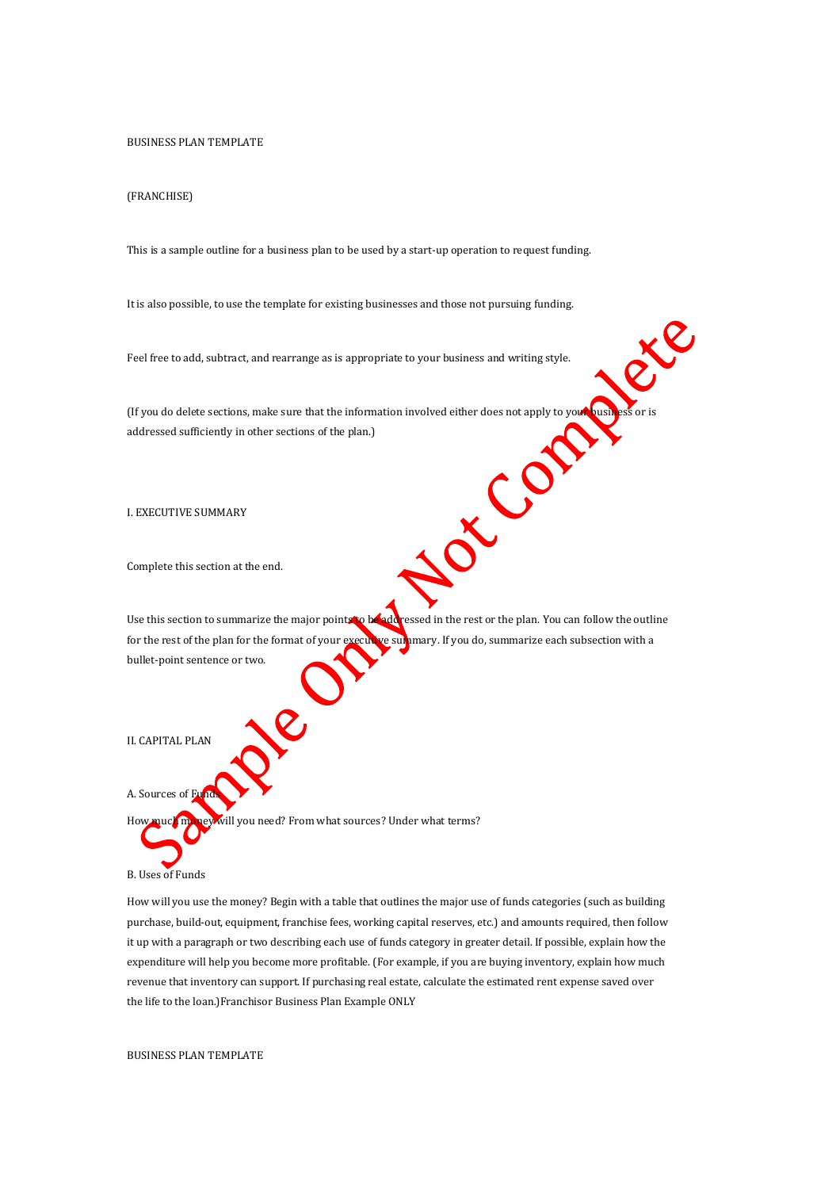## BUSINESS PLAN TEMPLATE

## (FRANCHISE)

This is a sample outline for a business plan to be used by a start-up operation to request funding.

It is also possible, to use the template for existing businesses and those not pursuing funding.

Feel free to add, subtract, and rearrange as is appropriate to your business and writing style.

(If you do delete sections, make sure that the information involved either does not apply to your addressed sufficiently in other sections of the plan.)<br>
LEXECUTIVE SUMMARY addressed sufficiently in other sections of the plan.)

I. EXECUTIVE SUMMARY

Complete this section at the end.

Use this section to summarize the major points to be addressed in the rest or the plan. You can follow the outline for the rest of the plan for the format of your executive summary. If you do, summarize each subsection with a bullet-point sentence or two.

II. CAPITAL PLAN

A. Sources of E How much money will you need? From what sources? Under what terms?

B. Uses of Funds

How will you use the money? Begin with a table that outlines the major use of funds categories (such as building purchase, build-out, equipment, franchise fees, working capital reserves, etc.) and amounts required, then follow it up with a paragraph or two describing each use of funds category in greater detail. If possible, explain how the expenditure will help you become more profitable. (For example, if you are buying inventory, explain how much revenue that inventory can support. If purchasing real estate, calculate the estimated rent expense saved over the life to the loan.)Franchisor Business Plan Example ONLY

BUSINESS PLAN TEMPLATE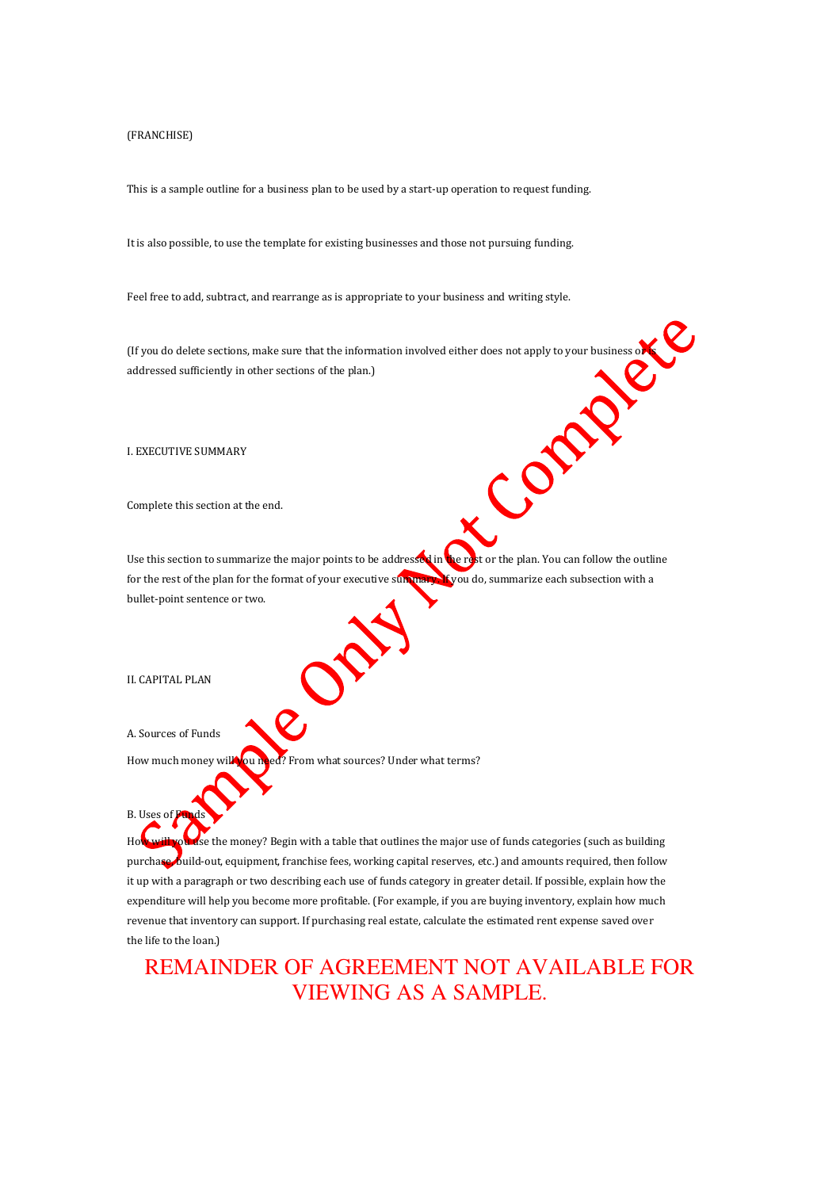## (FRANCHISE)

This is a sample outline for a business plan to be used by a start-up operation to request funding.

It is also possible, to use the template for existing businesses and those not pursuing funding.

Feel free to add, subtract, and rearrange as is appropriate to your business and writing style.

(If you do delete sections, make sure that the information involved either does not apply to your business o**rly** addressed sufficiently in other sections of the plan.)

I. EXECUTIVE SUMMARY

Complete this section at the end.

Use this section to summarize the major points to be addressed in the rest or the plan. You can follow the outline for the rest of the plan for the format of your executive summary. If you do, summarize each subsection with a bullet-point sentence or two.

II. CAPITAL PLAN

A. Sources of Funds

B. Uses of  $\overline{P}$ 

How much money will you need? From what sources? Under what terms?

OF

Ise the money? Begin with a table that outlines the major use of funds categories (such as building purchase, build-out, equipment, franchise fees, working capital reserves, etc.) and amounts required, then follow it up with a paragraph or two describing each use of funds category in greater detail. If possible, explain how the expenditure will help you become more profitable. (For example, if you are buying inventory, explain how much revenue that inventory can support. If purchasing real estate, calculate the estimated rent expense saved over the life to the loan.)

## REMAINDER OF AGREEMENT NOT AVAILABLE FOR VIEWING AS A SAMPLE.